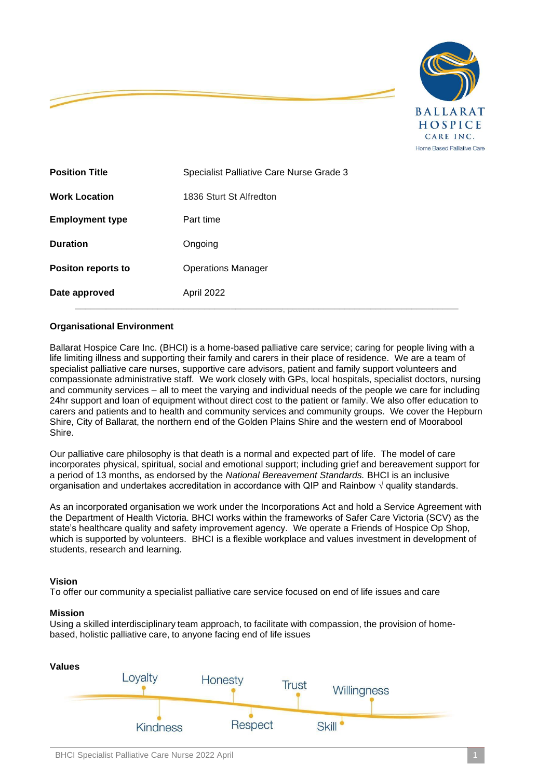

| Date approved             | April 2022                               |
|---------------------------|------------------------------------------|
| <b>Positon reports to</b> | <b>Operations Manager</b>                |
| <b>Duration</b>           | Ongoing                                  |
| <b>Employment type</b>    | Part time                                |
| <b>Work Location</b>      | 1836 Sturt St Alfredton                  |
| <b>Position Title</b>     | Specialist Palliative Care Nurse Grade 3 |

### **Organisational Environment**

Ballarat Hospice Care Inc. (BHCI) is a home-based palliative care service; caring for people living with a life limiting illness and supporting their family and carers in their place of residence. We are a team of specialist palliative care nurses, supportive care advisors, patient and family support volunteers and compassionate administrative staff. We work closely with GPs, local hospitals, specialist doctors, nursing and community services – all to meet the varying and individual needs of the people we care for including 24hr support and loan of equipment without direct cost to the patient or family. We also offer education to carers and patients and to health and community services and community groups. We cover the Hepburn Shire, City of Ballarat, the northern end of the Golden Plains Shire and the western end of Moorabool Shire.

Our palliative care philosophy is that death is a normal and expected part of life. The model of care incorporates physical, spiritual, social and emotional support; including grief and bereavement support for a period of 13 months, as endorsed by the *National Bereavement Standards.* BHCI is an inclusive organisation and undertakes accreditation in accordance with QIP and Rainbow  $\sqrt{ }$  quality standards.

As an incorporated organisation we work under the Incorporations Act and hold a Service Agreement with the Department of Health Victoria. BHCI works within the frameworks of Safer Care Victoria (SCV) as the state's healthcare quality and safety improvement agency. We operate a Friends of Hospice Op Shop, which is supported by volunteers. BHCI is a flexible workplace and values investment in development of students, research and learning.

### **Vision**

To offer our community a specialist palliative care service focused on end of life issues and care

#### **Mission**

Using a skilled interdisciplinary team approach, to facilitate with compassion, the provision of homebased, holistic palliative care, to anyone facing end of life issues

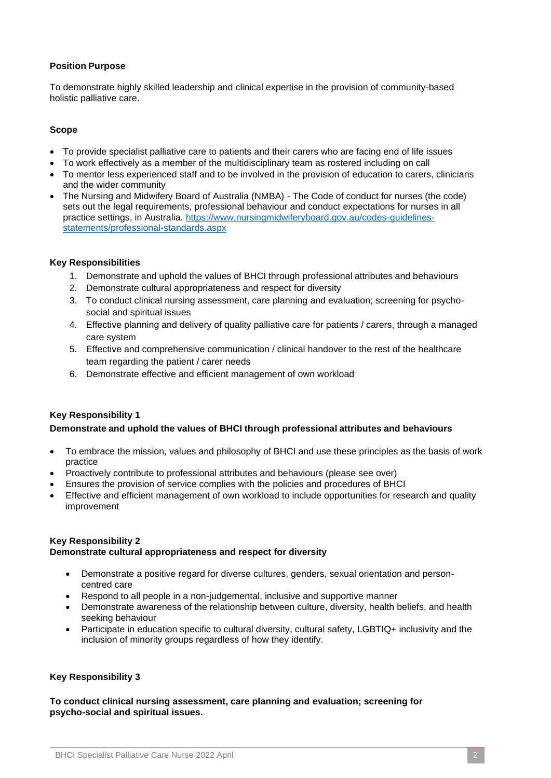# **Position Purpose**

To demonstrate highly skilled leadership and clinical expertise in the provision of community-based holistic palliative care.

### **Scope**

- To provide specialist palliative care to patients and their carers who are facing end of life issues
- To work effectively as a member of the multidisciplinary team as rostered including on call
- To mentor less experienced staff and to be involved in the provision of education to carers, clinicians and the wider community
- The Nursing and Midwifery Board of Australia (NMBA) The Code of conduct for nurses (the code) sets out the legal requirements, professional behaviour and conduct expectations for nurses in all practice settings, in Australia. [https://www.nursingmidwiferyboard.gov.au/codes-guidelines](https://www.nursingmidwiferyboard.gov.au/codes-guidelines-statements/professional-standards.aspx)[statements/professional-standards.aspx](https://www.nursingmidwiferyboard.gov.au/codes-guidelines-statements/professional-standards.aspx)

### **Key Responsibilities**

- 1. Demonstrate and uphold the values of BHCI through professional attributes and behaviours
- 2. Demonstrate cultural appropriateness and respect for diversity
- 3. To conduct clinical nursing assessment, care planning and evaluation; screening for psychosocial and spiritual issues
- 4. Effective planning and delivery of quality palliative care for patients / carers, through a managed care system
- 5. Effective and comprehensive communication / clinical handover to the rest of the healthcare team regarding the patient / carer needs
- 6. Demonstrate effective and efficient management of own workload

# **Key Responsibility 1**

### **Demonstrate and uphold the values of BHCI through professional attributes and behaviours**

- To embrace the mission, values and philosophy of BHCI and use these principles as the basis of work practice
- Proactively contribute to professional attributes and behaviours (please see over)
- Ensures the provision of service complies with the policies and procedures of BHCI
- Effective and efficient management of own workload to include opportunities for research and quality improvement

#### **Key Responsibility 2 Demonstrate cultural appropriateness and respect for diversity**

- Demonstrate a positive regard for diverse cultures, genders, sexual orientation and personcentred care
- Respond to all people in a non-judgemental, inclusive and supportive manner
- Demonstrate awareness of the relationship between culture, diversity, health beliefs, and health seeking behaviour
- Participate in education specific to cultural diversity, cultural safety, LGBTIQ+ inclusivity and the inclusion of minority groups regardless of how they identify.

### **Key Responsibility 3**

**To conduct clinical nursing assessment, care planning and evaluation; screening for psycho-social and spiritual issues.**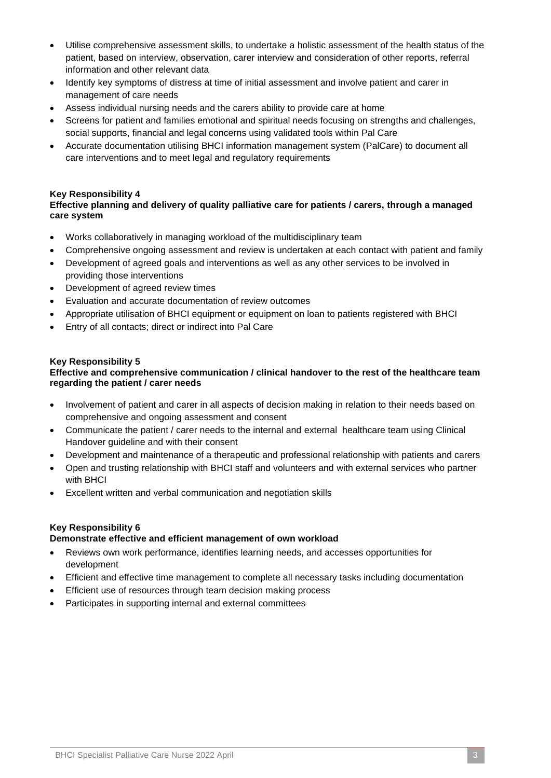- Utilise comprehensive assessment skills, to undertake a holistic assessment of the health status of the patient, based on interview, observation, carer interview and consideration of other reports, referral information and other relevant data
- Identify key symptoms of distress at time of initial assessment and involve patient and carer in management of care needs
- Assess individual nursing needs and the carers ability to provide care at home
- Screens for patient and families emotional and spiritual needs focusing on strengths and challenges, social supports, financial and legal concerns using validated tools within Pal Care
- Accurate documentation utilising BHCI information management system (PalCare) to document all care interventions and to meet legal and regulatory requirements

### **Key Responsibility 4**

# **Effective planning and delivery of quality palliative care for patients / carers, through a managed care system**

- Works collaboratively in managing workload of the multidisciplinary team
- Comprehensive ongoing assessment and review is undertaken at each contact with patient and family
- Development of agreed goals and interventions as well as any other services to be involved in providing those interventions
- Development of agreed review times
- Evaluation and accurate documentation of review outcomes
- Appropriate utilisation of BHCI equipment or equipment on loan to patients registered with BHCI
- Entry of all contacts; direct or indirect into Pal Care

# **Key Responsibility 5**

### **Effective and comprehensive communication / clinical handover to the rest of the healthcare team regarding the patient / carer needs**

- Involvement of patient and carer in all aspects of decision making in relation to their needs based on comprehensive and ongoing assessment and consent
- Communicate the patient / carer needs to the internal and external healthcare team using Clinical Handover guideline and with their consent
- Development and maintenance of a therapeutic and professional relationship with patients and carers
- Open and trusting relationship with BHCI staff and volunteers and with external services who partner with BHCI
- Excellent written and verbal communication and negotiation skills

# **Key Responsibility 6**

### **Demonstrate effective and efficient management of own workload**

- Reviews own work performance, identifies learning needs, and accesses opportunities for development
- Efficient and effective time management to complete all necessary tasks including documentation
- Efficient use of resources through team decision making process
- Participates in supporting internal and external committees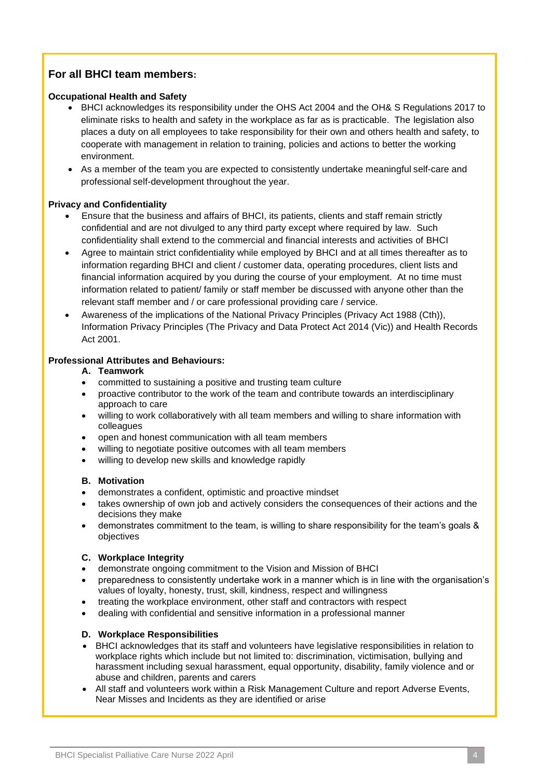# **For all BHCI team members:**

### **Occupational Health and Safety**

- BHCI acknowledges its responsibility under the OHS Act 2004 and the OH& S Regulations 2017 to eliminate risks to health and safety in the workplace as far as is practicable. The legislation also places a duty on all employees to take responsibility for their own and others health and safety, to cooperate with management in relation to training, policies and actions to better the working environment.
- As a member of the team you are expected to consistently undertake meaningful self-care and professional self-development throughout the year.

# **Privacy and Confidentiality**

- Ensure that the business and affairs of BHCI, its patients, clients and staff remain strictly confidential and are not divulged to any third party except where required by law. Such confidentiality shall extend to the commercial and financial interests and activities of BHCI
- Agree to maintain strict confidentiality while employed by BHCI and at all times thereafter as to information regarding BHCI and client / customer data, operating procedures, client lists and financial information acquired by you during the course of your employment. At no time must information related to patient/ family or staff member be discussed with anyone other than the relevant staff member and / or care professional providing care / service.
- Awareness of the implications of the National Privacy Principles (Privacy Act 1988 (Cth)), Information Privacy Principles (The Privacy and Data Protect Act 2014 (Vic)) and Health Records Act 2001.

### **Professional Attributes and Behaviours:**

- **A. Teamwork**
- committed to sustaining a positive and trusting team culture
- proactive contributor to the work of the team and contribute towards an interdisciplinary approach to care
- willing to work collaboratively with all team members and willing to share information with colleagues
- open and honest communication with all team members
- willing to negotiate positive outcomes with all team members
- willing to develop new skills and knowledge rapidly

# **B. Motivation**

- demonstrates a confident, optimistic and proactive mindset
- takes ownership of own job and actively considers the consequences of their actions and the decisions they make
- demonstrates commitment to the team, is willing to share responsibility for the team's goals & objectives

### **C. Workplace Integrity**

- demonstrate ongoing commitment to the Vision and Mission of BHCI
- preparedness to consistently undertake work in a manner which is in line with the organisation's values of loyalty, honesty, trust, skill, kindness, respect and willingness
- treating the workplace environment, other staff and contractors with respect
- dealing with confidential and sensitive information in a professional manner

# **D. Workplace Responsibilities**

- BHCI acknowledges that its staff and volunteers have legislative responsibilities in relation to workplace rights which include but not limited to: discrimination, victimisation, bullying and harassment including sexual harassment, equal opportunity, disability, family violence and or abuse and children, parents and carers
- All staff and volunteers work within a Risk Management Culture and report Adverse Events, Near Misses and Incidents as they are identified or arise